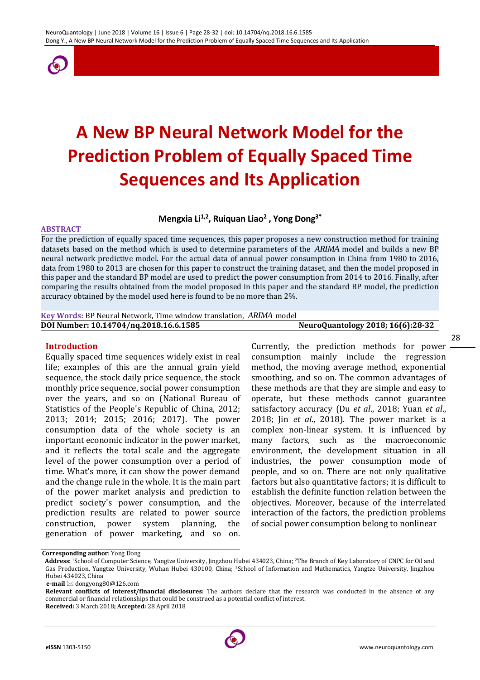

# **A New BP Neural Network Model for the Prediction Problem of Equally Spaced Time Sequences and Its Application**

# **Mengxia Li1,2, Ruiquan Liao<sup>2</sup> , Yong Dong3\***

#### **ABSTRACT**

For the prediction of equally spaced time sequences, this paper proposes a new construction method for training datasets based on the method which is used to determine parameters of the *ARIMA* model and builds a new BP neural network predictive model. For the actual data of annual power consumption in China from 1980 to 2016, data from 1980 to 2013 are chosen for this paper to construct the training dataset, and then the model proposed in this paper and the standard BP model are used to predict the power consumption from 2014 to 2016. Finally, after comparing the results obtained from the model proposed in this paper and the standard BP model, the prediction accuracy obtained by the model used here is found to be no more than 2%.

**Key Words:** BP Neural Network, Time window translation, *ARIMA* model **DOI Number: 10.14704/nq.2018.16.6.1585 NeuroQuantology 2018; 16(6):28-32**

#### **Introduction**

Equally spaced time sequences widely exist in real life; examples of this are the annual grain yield sequence, the stock daily price sequence, the stock monthly price sequence, social power consumption over the years, and so on (National Bureau of Statistics of the People's Republic of China, 2012; 2013; 2014; 2015; 2016; 2017). The power consumption data of the whole society is an important economic indicator in the power market, and it reflects the total scale and the aggregate level of the power consumption over a period of time. What's more, it can show the power demand and the change rule in the whole. It is the main part of the power market analysis and prediction to predict society's power consumption, and the prediction results are related to power source construction, power system planning, the generation of power marketing, and so on.

Currently, the prediction methods for power consumption mainly include the regression method, the moving average method, exponential smoothing, and so on. The common advantages of these methods are that they are simple and easy to operate, but these methods cannot guarantee satisfactory accuracy (Du *et al*., 2018; Yuan *et al*., 2018; Jin *et al*., 2018). The power market is a complex non-linear system. It is influenced by many factors, such as the macroeconomic environment, the development situation in all industries, the power consumption mode of people, and so on. There are not only qualitative factors but also quantitative factors; it is difficult to establish the definite function relation between the objectives. Moreover, because of the interrelated interaction of the factors, the prediction problems of social power consumption belong to nonlinear



**Corresponding author**: Yong Dong

**Address**: 1School of Computer Science, Yangtze University, Jingzhou Hubei 434023, China; 2The Branch of Key Laboratory of CNPC for Oil and Gas Production, Yangtze University, Wuhan Hubei 430100, China; 3School of Information and Mathematics, Yangtze University, Jingzhou Hubei 434023, China

**e-mail** ⊠ dongyong80@126.com

**Relevant conflicts of interest/financial disclosures:** The authors declare that the research was conducted in the absence of any commercial or financial relationships that could be construed as a potential conflict of interest. **Received:** 3 March 2018**; Accepted:** 28 April 2018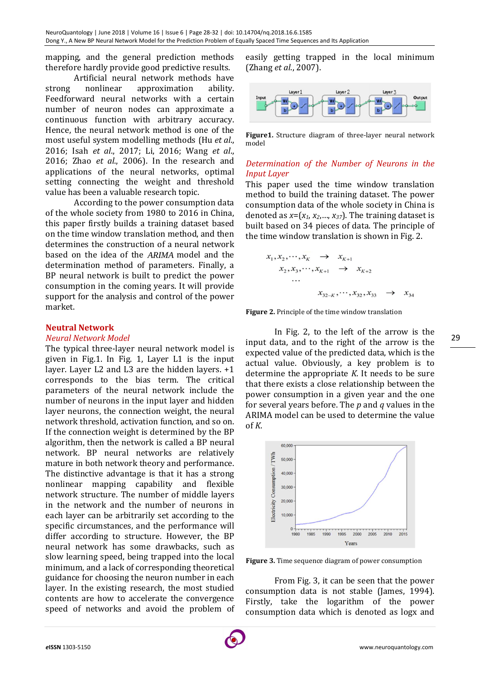mapping, and the general prediction methods therefore hardly provide good predictive results.

Artificial neural network methods have strong nonlinear approximation ability. Feedforward neural networks with a certain number of neuron nodes can approximate a continuous function with arbitrary accuracy. Hence, the neural network method is one of the most useful system modelling methods (Hu *et al*., 2016; Isah *et al*., 2017; Li, 2016; Wang *et al*., 2016; Zhao *et al*., 2006). In the research and applications of the neural networks, optimal setting connecting the weight and threshold value has been a valuable research topic.

According to the power consumption data of the whole society from 1980 to 2016 in China, this paper firstly builds a training dataset based on the time window translation method, and then determines the construction of a neural network based on the idea of the *ARIMA* model and the determination method of parameters. Finally, a BP neural network is built to predict the power consumption in the coming years. It will provide support for the analysis and control of the power market.

## **Neutral Network**

#### *Neural Network Model*

The typical three-layer neural network model is given in Fig.1. In Fig. 1, Layer L1 is the input layer. Layer L2 and L3 are the hidden layers. +1 corresponds to the bias term. The critical parameters of the neural network include the number of neurons in the input layer and hidden layer neurons, the connection weight, the neural network threshold, activation function, and so on. If the connection weight is determined by the BP algorithm, then the network is called a BP neural network. BP neural networks are relatively mature in both network theory and performance. The distinctive advantage is that it has a strong nonlinear mapping capability and flexible network structure. The number of middle layers in the network and the number of neurons in each layer can be arbitrarily set according to the specific circumstances, and the performance will differ according to structure. However, the BP neural network has some drawbacks, such as slow learning speed, being trapped into the local minimum, and a lack of corresponding theoretical guidance for choosing the neuron number in each layer. In the existing research, the most studied contents are how to accelerate the convergence speed of networks and avoid the problem of easily getting trapped in the local minimum (Zhang *et al*., 2007).



**Figure1.** Structure diagram of three-layer neural network model

# *Determination of the Number of Neurons in the Input Layer*

This paper used the time window translation method to build the training dataset. The power consumption data of the whole society in China is denoted as *x*=(*x1*, *x2*,…, *x37*). The training dataset is built based on 34 pieces of data. The principle of the time window translation is shown in Fig. 2.

$$
x_1, x_2, \cdots, x_K \rightarrow x_{K+1}
$$
  
\n
$$
x_2, x_3, \cdots, x_{K+1} \rightarrow x_{K+2}
$$
  
\n...  
\n
$$
x_{32-K}, \cdots, x_{32}, x_{33} \rightarrow x_{34}
$$

**Figure 2.** Principle of the time window translation

In Fig. 2, to the left of the arrow is the input data, and to the right of the arrow is the expected value of the predicted data, which is the actual value. Obviously, a key problem is to determine the appropriate *K*. It needs to be sure that there exists a close relationship between the power consumption in a given year and the one for several years before. The *p* and *q* values in the ARIMA model can be used to determine the value of *K*.



**Figure 3.** Time sequence diagram of power consumption

From Fig. 3, it can be seen that the power consumption data is not stable (James, 1994). Firstly, take the logarithm of the power consumption data which is denoted as logx and 29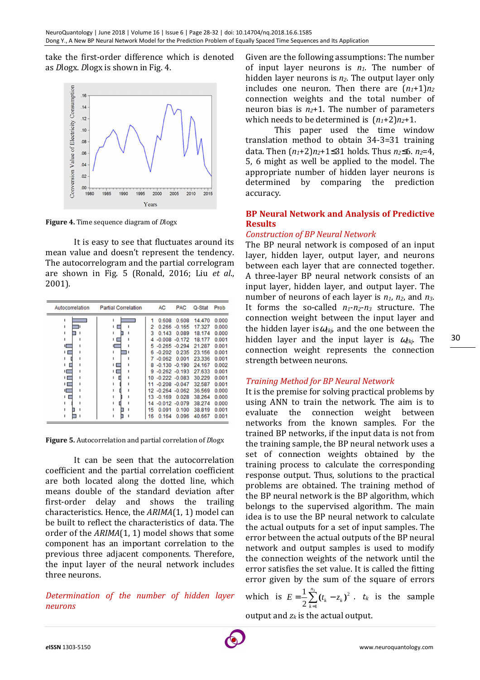take the first-order difference which is denoted as *D*logx. *D*logx is shown in Fig. 4.



**Figure 4.** Time sequence diagram of *D*logx

It is easy to see that fluctuates around its mean value and doesn't represent the tendency. The autocorrelogram and the partial correlogram are shown in Fig. 5 (Ronald, 2016; Liu *et al*., 2001).

| Autocorrelation | <b>Partial Correlation</b> |    | <b>AC</b>        | <b>PAC</b>       | Q-Stat | Prob  |
|-----------------|----------------------------|----|------------------|------------------|--------|-------|
|                 | ٠                          |    | 0.608            | 0.608            | 14.470 | 0.000 |
|                 | ı                          | 2  |                  | $0.266 - 0.165$  | 17.327 | 0.000 |
|                 | 1                          | 3  | 0.143            | 0.089            | 18.174 | 0.000 |
|                 | ٠                          | 4  |                  | $-0.008 - 0.172$ | 18.177 | 0.001 |
| ⊏               | ⊏                          | 5  | $-0.265 - 0.294$ |                  | 21.287 | 0.001 |
| ı [             | ٠                          | 6  | $-0.202$         | 0.235            | 23.156 | 0.001 |
|                 | ı                          |    | $-0.062$         | 0.001            | 23.336 | 0.001 |
|                 | ТC                         | 8  |                  | $-0.130 - 0.190$ | 24.167 | 0.002 |
| ı —             | . .                        | 9  | $-0.262 - 0.193$ |                  | 27.633 | 0.001 |
| ιЕ              | ٠                          | 10 | $-0.222 - 0.083$ |                  | 30.229 | 0.001 |
| н.              |                            |    | $-0.208 - 0.047$ |                  | 32.587 | 0.001 |
| Ē               |                            | 12 | $-0.264 - 0.062$ |                  | 36.569 | 0.000 |
|                 | ۱                          | 13 | $-0.169$         | 0.028            | 38.264 | 0.000 |
|                 | ı                          | 14 | $-0.012 - 0.079$ |                  | 38.274 | 0.000 |
|                 | ٠                          | 15 | 0.091            | 0.100            | 38.819 | 0.001 |
|                 |                            | 16 | 0.164            | 0.096            | 40.667 | 0.001 |

**Figure 5.** Autocorrelation and partial correlation of *D*logx

It can be seen that the autocorrelation coefficient and the partial correlation coefficient are both located along the dotted line, which means double of the standard deviation after first-order delay and shows the trailing characteristics. Hence, the *ARIMA*(1, 1) model can be built to reflect the characteristics of data. The order of the *ARIMA*(1, 1) model shows that some component has an important correlation to the previous three adjacent components. Therefore, the input layer of the neural network includes three neurons.

*Determination of the number of hidden layer neurons* 

Given are the following assumptions: The number of input layer neurons is *n1*. The number of hidden layer neurons is *n2*. The output layer only includes one neuron. Then there are  $(n_1+1)n_2$ connection weights and the total number of neuron bias is  $n_2+1$ . The number of parameters which needs to be determined is  $(n_1+2)n_2+1$ .

This paper used the time window translation method to obtain 34-3=31 training data. Then (*n1*+2)*n2*+1≤31 holds. Thus *n2*≤6. *n2*=4, 5, 6 might as well be applied to the model. The appropriate number of hidden layer neurons is determined by comparing the prediction accuracy.

## **BP Neural Network and Analysis of Predictive Results**

# *Construction of BP Neural Network*

The BP neural network is composed of an input layer, hidden layer, output layer, and neurons between each layer that are connected together. A three-layer BP neural network consists of an input layer, hidden layer, and output layer. The number of neurons of each layer is *n1*, *n2*, and *n3*. It forms the so-called  $n_1$ - $n_2$ - $n_3$  structure. The connection weight between the input layer and the hidden layer is $\omega_{1kj}$ , and the one between the hidden layer and the input layer is <sup>ω</sup>*2kj*. The connection weight represents the connection strength between neurons.

# *Training Method for BP Neural Network*

It is the premise for solving practical problems by using ANN to train the network. The aim is to evaluate the connection weight between networks from the known samples. For the trained BP networks, if the input data is not from the training sample, the BP neural network uses a set of connection weights obtained by the training process to calculate the corresponding response output. Thus, solutions to the practical problems are obtained. The training method of the BP neural network is the BP algorithm, which belongs to the supervised algorithm. The main idea is to use the BP neural network to calculate the actual outputs for a set of input samples. The error between the actual outputs of the BP neural network and output samples is used to modify the connection weights of the network until the error satisfies the set value. It is called the fitting error given by the sum of the square of errors

which is  $E = \frac{1}{2} \sum_{k=1}^{n_3} (t_k - z_k)^2$ 1 1 2  $(t_{k} - z_{k})$ *n*  $\sum_{k=1}^{\mathcal{U}} k \longrightarrow k$  $E = \frac{1}{2} \sum_{k} (t_k - z_k)$  $=\frac{1}{2}\sum_{k=1}^{3}(t_{k}-z_{k})^{2}$ .  $t_{k}$  is the sample output and *zk* is the actual output.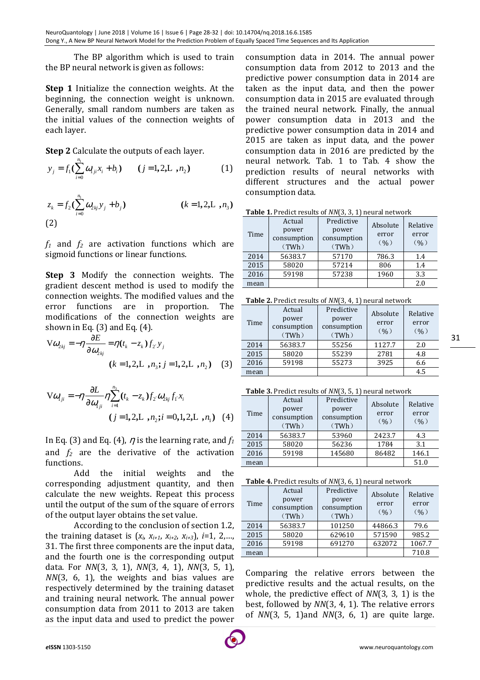The BP algorithm which is used to train the BP neural network is given as follows:

**Step 1** Initialize the connection weights. At the beginning, the connection weight is unknown. Generally, small random numbers are taken as the initial values of the connection weights of each layer.

**Step 2** Calculate the outputs of each layer.

$$
y_j = f_1(\sum_{i=0}^{n_1} \omega_{1ji} x_i + b_i) \qquad (j = 1, 2, L, n_2)
$$
 (1)

$$
z_k = f_2(\sum_{i=0}^{n_1} \omega_{2kj} y_j + b_j)
$$
 (k = 1, 2, L , n<sub>3</sub>)  
(2)

*f1* and *f2* are activation functions which are sigmoid functions or linear functions.

**Step 3** Modify the connection weights. The gradient descent method is used to modify the connection weights. The modified values and the error functions are in proportion. The modifications of the connection weights are shown in Eq. (3) and Eq. (4).

$$
V\omega_{2kj} = -\eta \frac{\partial E}{\partial \omega_{2kj}} = \eta (t_k - z_k) f_{2'} y_j
$$
  
(k = 1, 2, L , n<sub>3</sub>; j = 1, 2, L , n<sub>2</sub>) (3)

$$
V\omega_{1ji} = -\eta \frac{\partial L}{\partial \omega_{1ji}} \eta \sum_{i=1}^{n_3} (t_k - z_k) f_{2'} \omega_{2kj} f_{1'} x_i
$$
  
(j = 1, 2, L , n<sub>2</sub>; i = 0, 1, 2, L , n<sub>1</sub>) (4)

In Eq. (3) and Eq. (4),  $\eta$  is the learning rate, and  $f_1$ and  $f_2$  are the derivative of the activation functions.

Add the initial weights and the corresponding adjustment quantity, and then calculate the new weights. Repeat this process until the output of the sum of the square of errors of the output layer obtains the set value.

According to the conclusion of section 1.2, the training dataset is  $(x_i, x_{i+1}, x_{i+2}, x_{i+3})$ , *i*=1, 2,..., 31. The first three components are the input data, and the fourth one is the corresponding output data. For *NN*(3, 3, 1), *NN*(3, 4, 1), *NN*(3, 5, 1), *NN*(3, 6, 1), the weights and bias values are respectively determined by the training dataset and training neural network. The annual power consumption data from 2011 to 2013 are taken as the input data and used to predict the power

consumption data in 2014. The annual power consumption data from 2012 to 2013 and the predictive power consumption data in 2014 are taken as the input data, and then the power consumption data in 2015 are evaluated through the trained neural network. Finally, the annual power consumption data in 2013 and the predictive power consumption data in 2014 and 2015 are taken as input data, and the power consumption data in 2016 are predicted by the neural network. Tab. 1 to Tab. 4 show the prediction results of neural networks with different structures and the actual power consumption data.

| <b>Table 1.</b> Predict results of NN(3, 3, 1) neural network |
|---------------------------------------------------------------|
|---------------------------------------------------------------|

| Time | Actual<br>power<br>consumption<br>(TWh) | Predictive<br>power<br>consumption<br>(TWh) | Absolute<br>error<br>(96) | Relative<br>error<br>(96) |
|------|-----------------------------------------|---------------------------------------------|---------------------------|---------------------------|
| 2014 | 56383.7                                 | 57170                                       | 786.3                     | 1.4                       |
| 2015 | 58020                                   | 57214                                       | 806                       | 1.4                       |
| 2016 | 59198                                   | 57238                                       | 1960                      | 3.3                       |
| mean |                                         |                                             |                           | 2.0                       |

**Table 2.** Predict results of *NN*(3, 4, 1) neural network

| Time | Actual<br>power<br>consumption<br>(TWh) | Predictive<br>power<br>consumption<br>(TWh) | Absolute<br>error<br>(96) | Relative<br>error<br>(96) |
|------|-----------------------------------------|---------------------------------------------|---------------------------|---------------------------|
| 2014 | 56383.7                                 | 55256                                       | 1127.7                    | 2.0                       |
| 2015 | 58020                                   | 55239                                       | 2781                      | 4.8                       |
| 2016 | 59198                                   | 55273                                       | 3925                      | 6.6                       |
| mean |                                         |                                             |                           | 4.5                       |

**Table 3.** Predict results of *NN*(3, 5, 1) neural network

| Time | Actual<br>power<br>consumption<br>(TWh) | Predictive<br>power<br>consumption<br>(TWh) | Absolute<br>error<br>(96) | Relative<br>error<br>(96) |
|------|-----------------------------------------|---------------------------------------------|---------------------------|---------------------------|
| 2014 | 56383.7                                 | 53960                                       | 2423.7                    | 4.3                       |
| 2015 | 58020                                   | 56236                                       | 1784                      | 3.1                       |
| 2016 | 59198                                   | 145680                                      | 86482                     | 146.1                     |
| mean |                                         |                                             |                           | 51.0                      |

**Table 4.** Predict results of *NN*(3, 6, 1) neural network

| Time | Actual<br>power<br>consumption | Predictive<br>power<br>consumption | Absolute<br>error<br>(96) | Relative<br>error<br>(96) |
|------|--------------------------------|------------------------------------|---------------------------|---------------------------|
| 2014 | (TWh)<br>56383.7               | (TWh)<br>101250                    | 44866.3                   | 79.6                      |
| 2015 | 58020                          | 629610                             | 571590                    | 985.2                     |
| 2016 | 59198                          | 691270                             | 632072                    | 1067.7                    |
| mean |                                |                                    |                           | 710.8                     |

Comparing the relative errors between the predictive results and the actual results, on the whole, the predictive effect of *NN*(3, 3, 1) is the best, followed by *NN*(3, 4, 1). The relative errors of *NN*(3, 5, 1)and *NN*(3, 6, 1) are quite large.